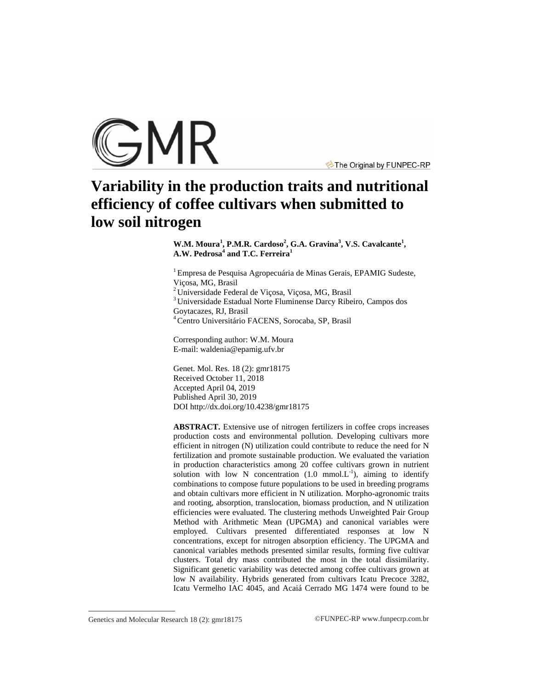

The Original by FUNPEC-RP

# **Variability in the production traits and nutritional efficiency of coffee cultivars when submitted to low soil nitrogen**

W.M. Moura<sup>1</sup>, P.M.R. Cardoso<sup>2</sup>, G.A. Gravina<sup>3</sup>, V.S. Cavalcante<sup>1</sup>, **A.W. Pedrosa<sup>4</sup> and T.C. Ferreira<sup>1</sup>**

<sup>1</sup> Empresa de Pesquisa Agropecuária de Minas Gerais, EPAMIG Sudeste, Viçosa, MG, Brasil <sup>2</sup> Universidade Federal de Viçosa, Viçosa, MG, Brasil

<sup>3</sup> Universidade Estadual Norte Fluminense Darcy Ribeiro, Campos dos Goytacazes, RJ, Brasil

<sup>4</sup> Centro Universitário FACENS, Sorocaba, SP, Brasil

Corresponding author: W.M. Moura E-mail: [waldenia@epamig.ufv.br](mailto:waldenia@epamig.ufv.br)

Genet. Mol. Res. 18 (2): gmr18175 Received October 11, 2018 Accepted April 04, 2019 Published April 30, 2019 DOI <http://dx.doi.org/10.4238/gmr18175>

**ABSTRACT.** Extensive use of nitrogen fertilizers in coffee crops increases production costs and environmental pollution. Developing cultivars more efficient in nitrogen (N) utilization could contribute to reduce the need for N fertilization and promote sustainable production. We evaluated the variation in production characteristics among 20 coffee cultivars grown in nutrient solution with low N concentration  $(1.0 \text{ mmol.} L^{-1})$ , aiming to identify combinations to compose future populations to be used in breeding programs and obtain cultivars more efficient in N utilization. Morpho-agronomic traits and rooting, absorption, translocation, biomass production, and N utilization efficiencies were evaluated. The clustering methods Unweighted Pair Group Method with Arithmetic Mean (UPGMA) and canonical variables were employed. Cultivars presented differentiated responses at low N concentrations, except for nitrogen absorption efficiency. The UPGMA and canonical variables methods presented similar results, forming five cultivar clusters. Total dry mass contributed the most in the total dissimilarity. Significant genetic variability was detected among coffee cultivars grown at low N availability. Hybrids generated from cultivars Icatu Precoce 3282, Icatu Vermelho IAC 4045, and Acaiá Cerrado MG 1474 were found to be

Genetics and Molecular Research 18 (2): gmr18175 ©FUNPEC-RP [www.funpecrp.com.br](http://www.funpecrp.com.br)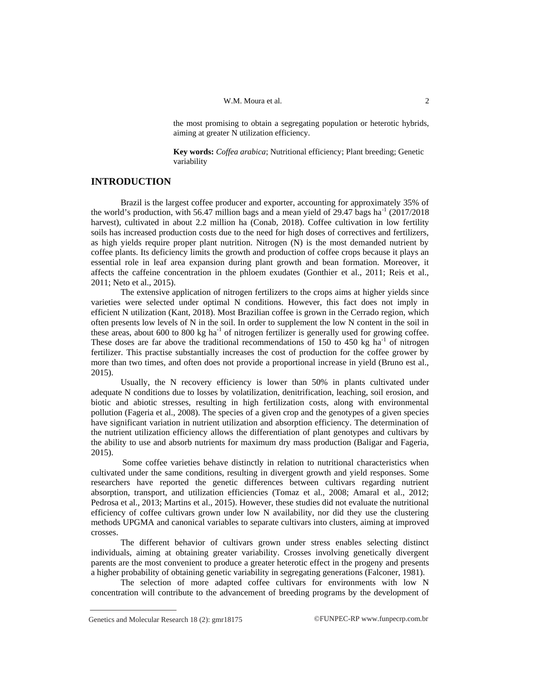the most promising to obtain a segregating population or heterotic hybrids, aiming at greater N utilization efficiency.

**Key words:** *Coffea arabica*; Nutritional efficiency; Plant breeding; Genetic variability

## **INTRODUCTION**

Brazil is the largest coffee producer and exporter, accounting for approximately 35% of the world's production, with 56.47 million bags and a mean yield of 29.47 bags ha<sup>-1</sup> (2017/2018 harvest), cultivated in about 2.2 million ha (Conab, 2018). Coffee cultivation in low fertility soils has increased production costs due to the need for high doses of correctives and fertilizers, as high yields require proper plant nutrition. Nitrogen (N) is the most demanded nutrient by coffee plants. Its deficiency limits the growth and production of coffee crops because it plays an essential role in leaf area expansion during plant growth and bean formation. Moreover, it affects the caffeine concentration in the phloem exudates (Gonthier et al., 2011; Reis et al., 2011; Neto et al., 2015).

The extensive application of nitrogen fertilizers to the crops aims at higher yields since varieties were selected under optimal N conditions. However, this fact does not imply in efficient N utilization (Kant, 2018). Most Brazilian coffee is grown in the Cerrado region, which often presents low levels of N in the soil. In order to supplement the low N content in the soil in these areas, about 600 to 800 kg ha<sup>-1</sup> of nitrogen fertilizer is generally used for growing coffee. These doses are far above the traditional recommendations of  $150$  to  $450$  kg ha<sup>-1</sup> of nitrogen fertilizer. This practise substantially increases the cost of production for the coffee grower by more than two times, and often does not provide a proportional increase in yield (Bruno est al., 2015).

Usually, the N recovery efficiency is lower than 50% in plants cultivated under adequate N conditions due to losses by volatilization, denitrification, leaching, soil erosion, and biotic and abiotic stresses, resulting in high fertilization costs, along with environmental pollution (Fageria et al., 2008). The species of a given crop and the genotypes of a given species have significant variation in nutrient utilization and absorption efficiency. The determination of the nutrient utilization efficiency allows the differentiation of plant genotypes and cultivars by the ability to use and absorb nutrients for maximum dry mass production (Baligar and Fageria, 2015).

Some coffee varieties behave distinctly in relation to nutritional characteristics when cultivated under the same conditions, resulting in divergent growth and yield responses. Some researchers have reported the genetic differences between cultivars regarding nutrient absorption, transport, and utilization efficiencies (Tomaz et al., 2008; Amaral et al., 2012; Pedrosa et al., 2013; Martins et al., 2015). However, these studies did not evaluate the nutritional efficiency of coffee cultivars grown under low N availability, nor did they use the clustering methods UPGMA and canonical variables to separate cultivars into clusters, aiming at improved crosses.

The different behavior of cultivars grown under stress enables selecting distinct individuals, aiming at obtaining greater variability. Crosses involving genetically divergent parents are the most convenient to produce a greater heterotic effect in the progeny and presents a higher probability of obtaining genetic variability in segregating generations (Falconer, 1981).

The selection of more adapted coffee cultivars for environments with low N concentration will contribute to the advancement of breeding programs by the development of

Genetics and Molecular Research 18 (2): gmr18175 ©FUNPEC-RP [www.funpecrp.com.br](http://www.funpecrp.com.br)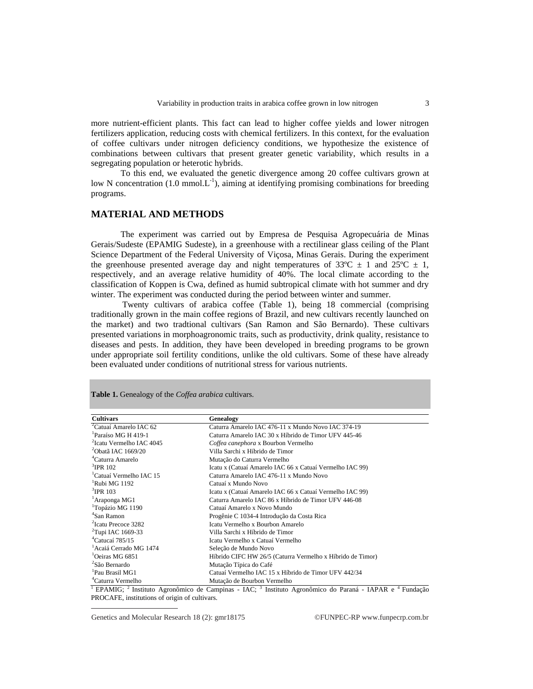more nutrient-efficient plants. This fact can lead to higher coffee yields and lower nitrogen fertilizers application, reducing costs with chemical fertilizers. In this context, for the evaluation of coffee cultivars under nitrogen deficiency conditions, we hypothesize the existence of combinations between cultivars that present greater genetic variability, which results in a segregating population or heterotic hybrids.

To this end, we evaluated the genetic divergence among 20 coffee cultivars grown at low N concentration  $(1.0 \text{ mmol.} L^{-1})$ , aiming at identifying promising combinations for breeding programs.

## **MATERIAL AND METHODS**

The experiment was carried out by Empresa de Pesquisa Agropecuária de Minas Gerais/Sudeste (EPAMIG Sudeste), in a greenhouse with a rectilinear glass ceiling of the Plant Science Department of the Federal University of Viçosa, Minas Gerais. During the experiment the greenhouse presented average day and night temperatures of 33 $^{\circ}$ C  $\pm$  1 and 25 $^{\circ}$ C  $\pm$  1, respectively, and an average relative humidity of 40%. The local climate according to the classification of Koppen is Cwa, defined as humid subtropical climate with hot summer and dry winter. The experiment was conducted during the period between winter and summer.

Twenty cultivars of arabica coffee (Table 1), being 18 commercial (comprising traditionally grown in the main coffee regions of Brazil, and new cultivars recently launched on the market) and two tradtional cultivars (San Ramon and São Bernardo). These cultivars presented variations in morphoagronomic traits, such as productivity, drink quality, resistance to diseases and pests. In addition, they have been developed in breeding programs to be grown under appropriate soil fertility conditions, unlike the old cultivars. Some of these have already been evaluated under conditions of nutritional stress for various nutrients.

| <b>Cultivars</b>                     | Genealogy                                                  |
|--------------------------------------|------------------------------------------------------------|
| <sup>2</sup> Catuaí Amarelo IAC 62   | Caturra Amarelo IAC 476-11 x Mundo Novo IAC 374-19         |
| <sup>1</sup> Paraíso MG H 419-1      | Caturra Amarelo IAC 30 x Híbrido de Timor UFV 445-46       |
| <sup>2</sup> Icatu Vermelho IAC 4045 | Coffea canephora x Bourbon Vermelho                        |
| $^{2}$ Obatã IAC 1669/20             | Villa Sarchi x Híbrido de Timor                            |
| <sup>4</sup> Caturra Amarelo         | Mutação do Caturra Vermelho                                |
| $3$ IPR 102                          | Icatu x (Catuaí Amarelo IAC 66 x Catuaí Vermelho IAC 99)   |
| <sup>1</sup> Catuaí Vermelho IAC 15  | Caturra Amarelo IAC 476-11 x Mundo Novo                    |
| <sup>1</sup> Rubi MG 1192            | Catuaí x Mundo Novo                                        |
| $3$ IPR 103                          | Icatu x (Catuaí Amarelo IAC 66 x Catuaí Vermelho IAC 99)   |
| <sup>1</sup> Araponga MG1            | Caturra Amarelo IAC 86 x Híbrido de Timor UFV 446-08       |
| <sup>1</sup> Topázio MG 1190         | Catuaí Amarelo x Novo Mundo                                |
| <sup>4</sup> San Ramon               | Progênie C 1034-4 Introdução da Costa Rica                 |
| <sup>2</sup> Icatu Precoce 3282      | Icatu Vermelho x Bourbon Amarelo                           |
| <sup>2</sup> Tupi IAC 1669-33        | Villa Sarchi x Híbrido de Timor                            |
| $^{4}$ Catucaí 785/15                | Icatu Vermelho x Catuaí Vermelho                           |
| <sup>1</sup> Acaiá Cerrado MG 1474   | Seleção de Mundo Novo                                      |
| <sup>1</sup> Oeiras MG 6851          | Híbrido CIFC HW 26/5 (Caturra Vermelho x Híbrido de Timor) |
| <sup>2</sup> São Bernardo            | Mutação Típica do Café                                     |
| <sup>1</sup> Pau Brasil MG1          | Catuaí Vermelho IAC 15 x Híbrido de Timor UFV 442/34       |
| <sup>4</sup> Caturra Vermelho        | Mutação de Bourbon Vermelho                                |

**Table 1.** Genealogy of the *Coffea arabica* cultivars.

<sup>1</sup> EPAMIG; <sup>2</sup> Instituto Agronômico de Campinas - IAC; <sup>3</sup> Instituto Agronômico do Paraná - IAPAR e <sup>4</sup> Fundação PROCAFE, institutions of origin of cultivars.

Genetics and Molecular Research 18 (2): gmr18175 ©FUNPEC-RP [www.funpecrp.com.br](http://www.funpecrp.com.br)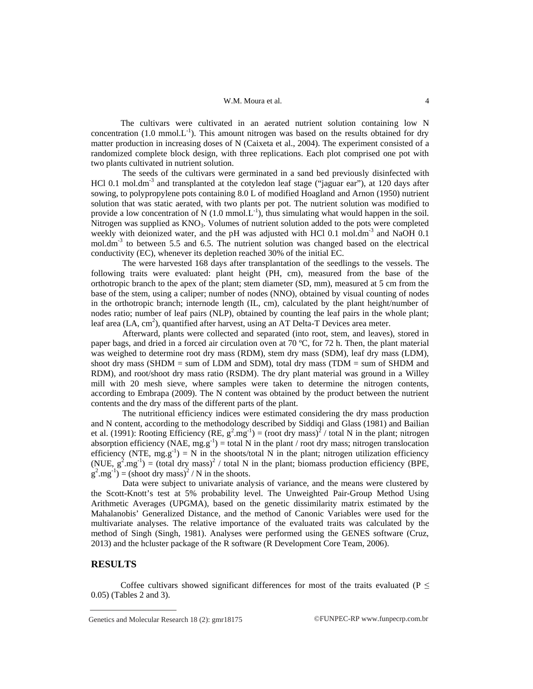The cultivars were cultivated in an aerated nutrient solution containing low N concentration (1.0 mmol. $L^{-1}$ ). This amount nitrogen was based on the results obtained for dry matter production in increasing doses of N (Caixeta et al., 2004). The experiment consisted of a randomized complete block design, with three replications. Each plot comprised one pot with two plants cultivated in nutrient solution.

The seeds of the cultivars were germinated in a sand bed previously disinfected with HCl 0.1 mol.dm<sup>-3</sup> and transplanted at the cotyledon leaf stage ("jaguar ear"), at 120 days after sowing, to polypropylene pots containing 8.0 L of modified Hoagland and Arnon (1950) nutrient solution that was static aerated, with two plants per pot. The nutrient solution was modified to provide a low concentration of N  $(1.0 \text{ mmol.} L^{-1})$ , thus simulating what would happen in the soil. Nitrogen was supplied as  $KNO<sub>3</sub>$ . Volumes of nutrient solution added to the pots were completed weekly with deionized water, and the pH was adjusted with HCl 0.1 mol.dm<sup>-3</sup> and NaOH 0.1 mol.dm<sup>-3</sup> to between 5.5 and 6.5. The nutrient solution was changed based on the electrical conductivity (EC), whenever its depletion reached 30% of the initial EC.

The were harvested 168 days after transplantation of the seedlings to the vessels. The following traits were evaluated: plant height (PH, cm), measured from the base of the orthotropic branch to the apex of the plant; stem diameter (SD, mm), measured at 5 cm from the base of the stem, using a caliper; number of nodes (NNO), obtained by visual counting of nodes in the orthotropic branch; internode length (IL, cm), calculated by the plant height/number of nodes ratio; number of leaf pairs (NLP), obtained by counting the leaf pairs in the whole plant; leaf area (LA, cm<sup>2</sup>), quantified after harvest, using an AT Delta-T Devices area meter.

Afterward, plants were collected and separated (into root, stem, and leaves), stored in paper bags, and dried in a forced air circulation oven at 70 ºC, for 72 h. Then, the plant material was weighed to determine root dry mass (RDM), stem dry mass (SDM), leaf dry mass (LDM), shoot dry mass (SHDM  $=$  sum of LDM and SDM), total dry mass (TDM  $=$  sum of SHDM and RDM), and root/shoot dry mass ratio (RSDM). The dry plant material was ground in a Willey mill with 20 mesh sieve, where samples were taken to determine the nitrogen contents, according to Embrapa (2009). The N content was obtained by the product between the nutrient contents and the dry mass of the different parts of the plant.

The nutritional efficiency indices were estimated considering the dry mass production and N content, according to the methodology described by Siddiqi and Glass (1981) and Bailian et al. (1991): Rooting Efficiency (RE,  $g^2.mg^{-1}$ ) = (root dry mass)<sup>2</sup> / total N in the plant; nitrogen absorption efficiency (NAE,  $mg.g^{-1}$ ) = total N in the plant / root dry mass; nitrogen translocation efficiency (NTE,  $mg.g^{-1}$ ) = N in the shoots/total N in the plant; nitrogen utilization efficiency (NUE,  $g^2.mg^{-1}$ ) = (total dry mass)<sup>2</sup> / total N in the plant; biomass production efficiency (BPE,  $g^2.mg^{-1}$ ) = (shoot dry mass)<sup>2</sup> / N in the shoots.

Data were subject to univariate analysis of variance, and the means were clustered by the Scott-Knott's test at 5% probability level. The Unweighted Pair-Group Method Using Arithmetic Averages (UPGMA), based on the genetic dissimilarity matrix estimated by the Mahalanobis' Generalized Distance, and the method of Canonic Variables were used for the multivariate analyses. The relative importance of the evaluated traits was calculated by the method of Singh (Singh, 1981). Analyses were performed using the GENES software (Cruz, 2013) and the hcluster package of the R software (R Development Core Team, 2006).

## **RESULTS**

Coffee cultivars showed significant differences for most of the traits evaluated ( $P \leq$ 0.05) (Tables 2 and 3).

Genetics and Molecular Research 18 (2): gmr18175 ©FUNPEC-RP [www.funpecrp.com.br](http://www.funpecrp.com.br)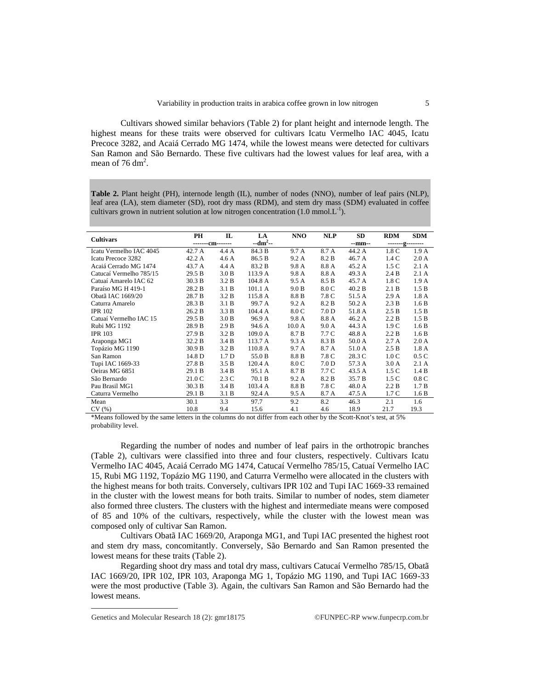Cultivars showed similar behaviors (Table 2) for plant height and internode length. The highest means for these traits were observed for cultivars Icatu Vermelho IAC 4045, Icatu Precoce 3282, and Acaiá Cerrado MG 1474, while the lowest means were detected for cultivars San Ramon and São Bernardo. These five cultivars had the lowest values for leaf area, with a mean of 76 dm<sup>2</sup>.

**Table 2.** Plant height (PH), internode length (IL), number of nodes (NNO), number of leaf pairs (NLP), leaf area (LA), stem diameter (SD), root dry mass (RDM), and stem dry mass (SDM) evaluated in coffee cultivars grown in nutrient solution at low nitrogen concentration (1.0 mmol.L<sup>-1</sup>).

| <b>Cultivars</b>        | PH               | $\mathbf{L}$     | LA        | <b>NNO</b> | <b>NLP</b>       | SD     | <b>RDM</b> | <b>SDM</b>       |  |
|-------------------------|------------------|------------------|-----------|------------|------------------|--------|------------|------------------|--|
|                         | -------cm------- |                  | $-dm2$ -- |            |                  | --mm-- |            | -------g-------- |  |
| Icatu Vermelho IAC 4045 | 42.7 A           | 4.4 A            | 84.3 B    | 9.7 A      | 8.7 A            | 44.2 A | 1.8 C      | 1.9A             |  |
| Icatu Precoce 3282      | 42.2 A           | 4.6 A            | 86.5 B    | 9.2A       | 8.2 B            | 46.7 A | 1.4C       | 2.0A             |  |
| Acaiá Cerrado MG 1474   | 43.7 A           | 4.4 A            | 83.2 B    | 9.8A       | 8.8 A            | 45.2 A | 1.5C       | 2.1A             |  |
| Catucaí Vermelho 785/15 | 29.5 B           | 3.0 B            | 113.9 A   | 9.8A       | 8.8 A            | 49.3 A | 2.4 B      | 2.1A             |  |
| Catuaí Amarelo IAC 62   | 30.3 B           | 3.2 B            | 104.8 A   | 9.5A       | 8.5 B            | 45.7 A | 1.8 C      | 1.9A             |  |
| Paraíso MG H 419-1      | 28.2 B           | 3.1 B            | 101.1 A   | 9.0 B      | 8.0 C            | 40.2 B | 2.1 B      | 1.5 B            |  |
| Obatã IAC 1669/20       | 28.7 B           | 3.2 B            | 115.8 A   | 8.8 B      | 7.8 C            | 51.5 A | 2.9A       | 1.8A             |  |
| Caturra Amarelo         | 28.3 B           | 3.1 B            | 99.7 A    | 9.2 A      | 8.2 B            | 50.2 A | 2.3 B      | 1.6B             |  |
| <b>IPR 102</b>          | 26.2 B           | 3.3 B            | 104.4 A   | 8.0 C      | 7.0 <sub>D</sub> | 51.8 A | 2.5 B      | 1.5 B            |  |
| Catuaí Vermelho IAC 15  | 29.5 B           | 3.0 B            | 96.9 A    | 9.8 A      | 8.8 A            | 46.2 A | 2.2 B      | 1.5 B            |  |
| Rubi MG 1192            | 28.9 B           | 2.9B             | 94.6 A    | 10.0 A     | 9.0A             | 44.3 A | 1.9C       | 1.6B             |  |
| <b>IPR 103</b>          | 27.9 B           | 3.2 B            | 109.0 A   | 8.7 B      | 7.7 C            | 48.8 A | 2.2 B      | 1.6B             |  |
| Araponga MG1            | 32.2 B           | 3.4 B            | 113.7 A   | 9.3 A      | 8.3 B            | 50.0 A | 2.7A       | 2.0A             |  |
| Topázio MG 1190         | 30.9 B           | 3.2 B            | 110.8 A   | 9.7 A      | 8.7 A            | 51.0 A | 2.5 B      | 1.8A             |  |
| San Ramon               | 14.8 D           | 1.7 <sub>D</sub> | 55.0 B    | 8.8 B      | 7.8 C            | 28.3 C | 1.0C       | 0.5C             |  |
| Tupi IAC 1669-33        | 27.8 B           | 3.5 B            | 120.4 A   | 8.0 C      | 7.0 <sub>D</sub> | 57.3 A | 3.0A       | 2.1A             |  |
| Oeiras MG 6851          | 29.1 B           | 3.4 B            | 95.1 A    | 8.7 B      | 7.7 C            | 43.5 A | 1.5C       | 1.4 B            |  |
| São Bernardo            | 21.0 C           | 2.3C             | 70.1 B    | 9.2 A      | 8.2 B            | 35.7 B | 1.5C       | 0.8C             |  |
| Pau Brasil MG1          | 30.3 B           | 3.4 B            | 103.4 A   | 8.8 B      | 7.8 C            | 48.0 A | 2.2 B      | 1.7 B            |  |
| Caturra Vermelho        | 29.1 B           | 3.1 B            | 92.4 A    | 9.5 A      | 8.7 A            | 47.5 A | 1.7 C      | 1.6B             |  |
| Mean                    | 30.1             | 3.3              | 97.7      | 9.2        | 8.2              | 46.3   | 2.1        | 1.6              |  |
| CV(%)                   | 10.8             | 9.4              | 15.6      | 4.1        | 4.6              | 18.9   | 21.7       | 19.3             |  |

\*Means followed by the same letters in the columns do not differ from each other by the Scott-Knot's test, at 5% probability level.

Regarding the number of nodes and number of leaf pairs in the orthotropic branches (Table 2), cultivars were classified into three and four clusters, respectively. Cultivars Icatu Vermelho IAC 4045, Acaiá Cerrado MG 1474, Catucaí Vermelho 785/15, Catuaí Vermelho IAC 15, Rubi MG 1192, Topázio MG 1190, and Caturra Vermelho were allocated in the clusters with the highest means for both traits. Conversely, cultivars IPR 102 and Tupi IAC 1669-33 remained in the cluster with the lowest means for both traits. Similar to number of nodes, stem diameter also formed three clusters. The clusters with the highest and intermediate means were composed of 85 and 10% of the cultivars, respectively, while the cluster with the lowest mean was composed only of cultivar San Ramon.

Cultivars Obatã IAC 1669/20, Araponga MG1, and Tupi IAC presented the highest root and stem dry mass, concomitantly. Conversely, São Bernardo and San Ramon presented the lowest means for these traits (Table 2).

Regarding shoot dry mass and total dry mass, cultivars Catucaí Vermelho 785/15, Obatã IAC 1669/20, IPR 102, IPR 103, Araponga MG 1, Topázio MG 1190, and Tupi IAC 1669-33 were the most productive (Table 3). Again, the cultivars San Ramon and São Bernardo had the lowest means.

Genetics and Molecular Research 18 (2):  $gmr18175$  ©FUNPEC-RP [www.funpecrp.com.br](http://www.funpecrp.com.br)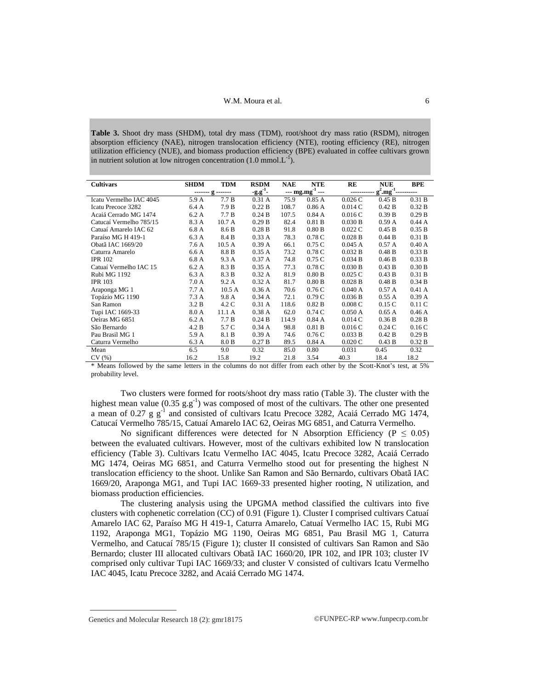**Table 3.** Shoot dry mass (SHDM), total dry mass (TDM), root/shoot dry mass ratio (RSDM), nitrogen absorption efficiency (NAE), nitrogen translocation efficiency (NTE), rooting efficiency (RE), nitrogen utilization efficiency (NUE), and biomass production efficiency (BPE) evaluated in coffee cultivars grown in nutrient solution at low nitrogen concentration  $(1.0 \text{ mmol.} L^{-1})$ .

| <b>Cultivars</b>        | <b>SHDM</b> | <b>TDM</b>        | <b>RSDM</b> | <b>NAE</b>                            | <b>NTE</b> | RE                       | <b>NUE</b> | <b>BPE</b> |
|-------------------------|-------------|-------------------|-------------|---------------------------------------|------------|--------------------------|------------|------------|
|                         |             | ------- g ------- | $-9.9^{1}$  | $\frac{1}{2}$ mg.mg <sup>-1</sup> --- |            | $g^2.mg^{-1}$<br>------- |            |            |
| Icatu Vermelho IAC 4045 | 5.9 A       | 7.7 B             | 0.31A       | 75.9                                  | 0.85A      | 0.026C                   | 0.45 B     | 0.31 B     |
| Icatu Precoce 3282      | 6.4 A       | 7.9 B             | 0.22 B      | 108.7                                 | 0.86A      | 0.014C                   | 0.42 B     | 0.32 B     |
| Acaiá Cerrado MG 1474   | 6.2A        | 7.7 B             | 0.24 B      | 107.5                                 | 0.84A      | 0.016C                   | 0.39 B     | 0.29B      |
| Catucaí Vermelho 785/15 | 8.3 A       | 10.7 A            | 0.29B       | 82.4                                  | 0.81 B     | 0.030 B                  | 0.59A      | 0.44A      |
| Catuaí Amarelo IAC 62   | 6.8 A       | 8.6 B             | 0.28 B      | 91.8                                  | 0.80 B     | $0.022$ C                | 0.45 B     | 0.35 B     |
| Paraíso MG H 419-1      | 6.3 A       | 8.4 B             | 0.33A       | 78.3                                  | 0.78 C     | $0.028$ B                | 0.44 B     | 0.31 B     |
| Obatã IAC 1669/20       | 7.6 A       | 10.5A             | 0.39A       | 66.1                                  | 0.75C      | 0.045A                   | 0.57A      | 0.40A      |
| Caturra Amarelo         | 6.6A        | 8.8 B             | 0.35A       | 73.2                                  | 0.78C      | 0.032 B                  | 0.48 B     | 0.33 B     |
| <b>IPR 102</b>          | 6.8 A       | 9.3 A             | 0.37A       | 74.8                                  | 0.75C      | 0.034 B                  | 0.46 B     | 0.33 B     |
| Catuaí Vermelho IAC 15  | 6.2A        | 8.3 B             | 0.35A       | 77.3                                  | 0.78C      | 0.030 B                  | 0.43 B     | 0.30 B     |
| Rubi MG 1192            | 6.3 A       | 8.3 B             | 0.32 A      | 81.9                                  | 0.80 B     | 0.025C                   | 0.43 B     | 0.31 B     |
| <b>IPR 103</b>          | 7.0A        | 9.2 A             | 0.32A       | 81.7                                  | 0.80 B     | $0.028$ B                | 0.48 B     | 0.34 B     |
| Araponga MG 1           | 7.7A        | 10.5A             | 0.36A       | 70.6                                  | 0.76C      | 0.040 A                  | 0.57A      | 0.41A      |
| Topázio MG 1190         | 7.3A        | 9.8 A             | 0.34A       | 72.1                                  | 0.79C      | 0.036 B                  | 0.55A      | 0.39A      |
| San Ramon               | 3.2 B       | 4.2 C             | 0.31A       | 118.6                                 | 0.82 B     | 0.008C                   | 0.15C      | 0.11C      |
| Tupi IAC 1669-33        | 8.0 A       | 11.1 A            | 0.38A       | 62.0                                  | 0.74C      | 0.050A                   | 0.65A      | 0.46A      |
| Oeiras MG 6851          | 6.2A        | 7.7 B             | 0.24 B      | 114.9                                 | 0.84A      | 0.014C                   | 0.36 B     | 0.28 B     |
| São Bernardo            | 4.2 B       | 5.7 C             | 0.34A       | 98.8                                  | 0.81 B     | 0.016C                   | 0.24C      | 0.16C      |
| Pau Brasil MG 1         | 5.9 A       | 8.1 B             | 0.39A       | 74.6                                  | 0.76C      | 0.033 B                  | 0.42 B     | 0.29B      |
| Caturra Vermelho        | 6.3 A       | 8.0 B             | 0.27 B      | 89.5                                  | 0.84A      | 0.020C                   | 0.43 B     | 0.32 B     |
| Mean                    | 6.5         | 9.0               | 0.32        | 85.0                                  | 0.80       | 0.031                    | 0.45       | 0.32       |
| CV(%)                   | 16.2        | 15.8              | 19.2        | 21.8                                  | 3.54       | 40.3                     | 18.4       | 18.2       |

\* Means followed by the same letters in the columns do not differ from each other by the Scott-Knot's test, at 5% probability level.

Two clusters were formed for roots/shoot dry mass ratio (Table 3). The cluster with the highest mean value ( $0.35$   $g.g^{-1}$ ) was composed of most of the cultivars. The other one presented a mean of  $0.27$  g g<sup>-1</sup> and consisted of cultivars Icatu Precoce 3282, Acaiá Cerrado MG 1474, Catucaí Vermelho 785/15, Catuaí Amarelo IAC 62, Oeiras MG 6851, and Caturra Vermelho.

No significant differences were detected for N Absorption Efficiency ( $P \le 0.05$ ) between the evaluated cultivars. However, most of the cultivars exhibited low N translocation efficiency (Table 3). Cultivars Icatu Vermelho IAC 4045, Icatu Precoce 3282, Acaiá Cerrado MG 1474, Oeiras MG 6851, and Caturra Vermelho stood out for presenting the highest N translocation efficiency to the shoot. Unlike San Ramon and São Bernardo, cultivars Obatã IAC 1669/20, Araponga MG1, and Tupi IAC 1669-33 presented higher rooting, N utilization, and biomass production efficiencies.

The clustering analysis using the UPGMA method classified the cultivars into five clusters with cophenetic correlation (CC) of 0.91 (Figure 1). Cluster I comprised cultivars Catuaí Amarelo IAC 62, Paraíso MG H 419-1, Caturra Amarelo, Catuaí Vermelho IAC 15, Rubi MG 1192, Araponga MG1, Topázio MG 1190, Oeiras MG 6851, Pau Brasil MG 1, Caturra Vermelho, and Catucaí 785/15 (Figure 1); cluster II consisted of cultivars San Ramon and São Bernardo; cluster III allocated cultivars Obatã IAC 1660/20, IPR 102, and IPR 103; cluster IV comprised only cultivar Tupi IAC 1669/33; and cluster V consisted of cultivars Icatu Vermelho IAC 4045, Icatu Precoce 3282, and Acaiá Cerrado MG 1474.

Genetics and Molecular Research 18 (2): gmr18175 ©FUNPEC-RP [www.funpecrp.com.br](http://www.funpecrp.com.br)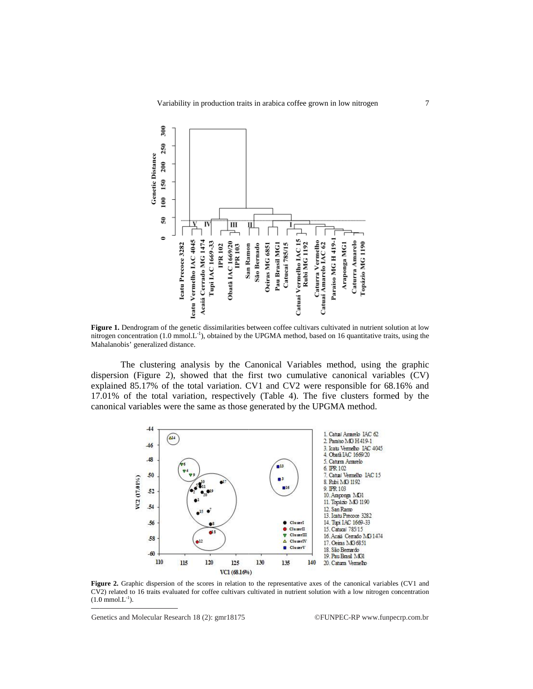

**Figure 1.** Dendrogram of the genetic dissimilarities between coffee cultivars cultivated in nutrient solution at low **Figure 1.** Dendrogram of the genetic dissimilarities between coffee cultivars cultivated in nutrient solution at low nitrogen concentration  $(1.0 \text{ mmol.L}^{-1})$ , obtained by the UPGMA method, based on 16 quantitative traits, Mahalanobis' generalized distance.

dispersion (Figure 2), showed that the first two cumulative canonical variables (CV) explained 85.17% of the total variation. CV1 and CV2 were responsible for 68.16% and 17.01% of the total variation, respectively (Table 4). The five clusters formed by the canonical variables were the same as those generated by the UPGMA method. The clustering analysis by the Canonical Variables method, using the graphic he clustering analysis by the Canonical Variables method, using the graphic 1 (Figure 2), showed that the first two cumulative canonical variables (CV) 85.17% of the total variation. CV1 and CV2 were responsible for 68.16%



**Figure 2.** Graphic dispersion of the scores in relation to the representative axes of the canonical variables (CV1 and CV2) related to 16 traits evaluated for coffee cultivars cultivated in nutrient solution with a low nitrogen concentration  $(1.0 \text{ mmol.L}^{-1}).$ 

©FUNPEC ©FUNPEC-RP [www.funpecrp.com.br](http://www.funpecrp.com.br)

Ge Genetics and Molecular Research 18 (2): gmr18175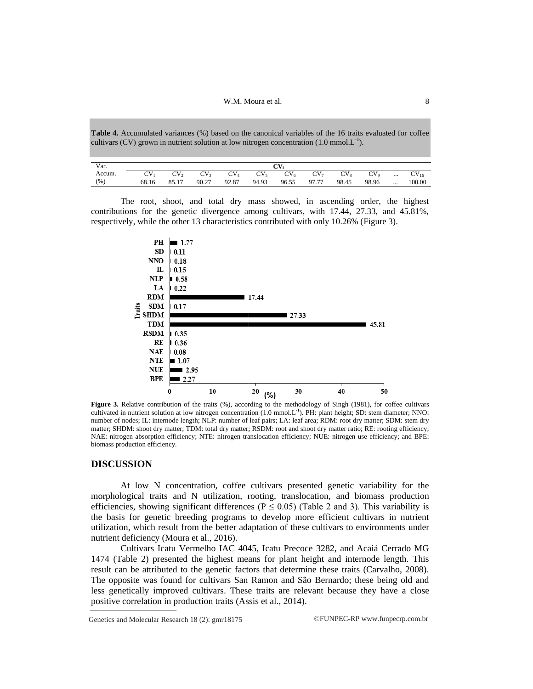W.M. Moura et al.

**Table 4 4.** Accumulated variances (%) based on the canonical variables of the 16 traits evaluated for cultivars (CV) grown in nutrient solution at low nitrogen concentration (1.0 mmol.L<sup>-1</sup>). (1.0 mmolecular variables of the 16 the 16 the 16 the 16 mmol.) coffee

| Var.   | OT.   |                    |                 |                 |                 |                 |                 |        |                          |          |           |
|--------|-------|--------------------|-----------------|-----------------|-----------------|-----------------|-----------------|--------|--------------------------|----------|-----------|
| Accum. | CV    | $\gamma_{\rm V_2}$ | CV <sub>3</sub> | $\mathrm{CV}_4$ | CV <sub>5</sub> | CV <sub>6</sub> | CV <sub>7</sub> | $CV_8$ | $\gamma_{\rm V_{\rm o}}$ | $\cdots$ | $CV_{16}$ |
| (% )   | 68.16 | 85.17              | 90.27           | 92.87           | 94.93           | 96.55           | 97.77           | 98.45  | 98.96                    | $\cdots$ | 100.00    |

contributions for the genetic divergence among cultivars, with 17.44, 27.33, and 45.81%, respectively, while the other 13 characteristics contributed with only 10.26% ( (Figure 3). The root, shoot, and total dry mass showed, in ascending order, the highest



**Figure 3.** Relative contribution of the traits (%), according to the methodology of Singh (1981), for coffee cultivars cultivated in nutrient solution at low nitrogen concentration ( number of nodes; IL: internode length; NLP: number of leaf pairs; LA: leaf area; RDM: root dry matter; SDM: stem dry matter; SHDM: shoot dry matter; TDM: total dry matter; RSDM: root and shoot dry matter ratio; RE: rooting efficiency; NAE: nitrogen absorption efficiency; NTE: nitrog en biomass production efficiency. ntribution of the traits (%), according to the methodology of Singh (1981), for coffee cultivars solution at low nitrogen concentration (1.0 mmol.L<sup>-1</sup>). PH: plant height; SD: stem diameter; NNO: internode length; NLP: num ode length; NLP: number of leaf pairs; LA: leaf area; RDM: root dry matter; SDM: stem dry<br>natter; TDM: total dry matter; RSDM: root and shoot dry matter ratio; RE: rooting efficiency;<br>efficiency; NTE: nitrogen translocatio  $(1.0 \text{ mmol.L}^{-1})$ . PH: plant height; SD: stem diameter; NNO:

## **DISCUSSION**

morphological traits and N utilization, rooting, translocation, and biomass production efficiencies, showing significant differences ( $P \le 0.05$ ) (Table 2 and 3). This variability is the basis for genetic breeding programs to develop more efficient cultivars in nutrient utilization, which result from the better adaptation of these cultivars to environments under nutrient deficiency (Moura et al., 2016). At low N concentration, coffee cultivars presented genetic variability for the

1474 (Table 2) presented the highest means for plant height and internode length. This result can be attributed to the genetic factors that determine these traits (Carvalho, 2008). The opposite was found for cultivars San Ramon and São Bernardo; these being old and less genetically improved cultivars. These traits are relevant because they have a close positive correlation in production traits (Assis et al., 2014). Cultivars Icatu Vermelho IAC 4045, Icatu Precoce 3282, and Acaiá Cerrado MG At low N concentration, coffee cultivars presented genetic variability for ogical traits and N utilization, rooting, translocation, and biomass producties, showing significant differences ( $P \le 0.05$ ) (Table 2 and 3). Thi

Genetics and Molecular Research 18 (2): gmr18175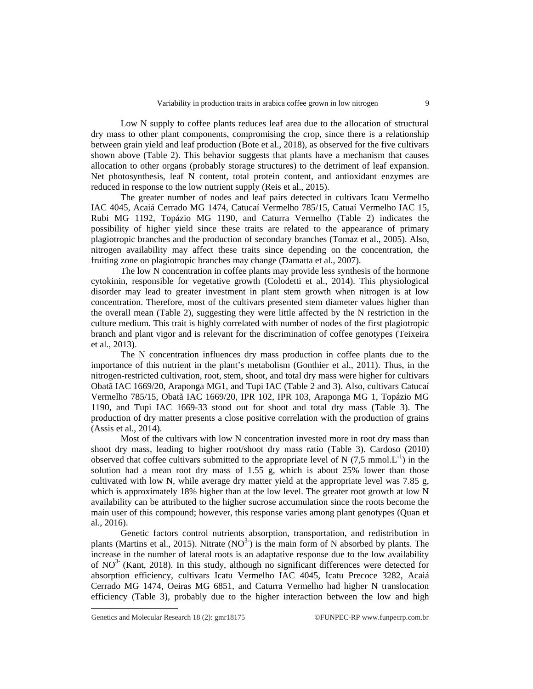Low N supply to coffee plants reduces leaf area due to the allocation of structural dry mass to other plant components, compromising the crop, since there is a relationship between grain yield and leaf production (Bote et al., 2018), as observed for the five cultivars shown above (Table 2). This behavior suggests that plants have a mechanism that causes allocation to other organs (probably storage structures) to the detriment of leaf expansion. Net photosynthesis, leaf N content, total protein content, and antioxidant enzymes are reduced in response to the low nutrient supply (Reis et al., 2015).

The greater number of nodes and leaf pairs detected in cultivars Icatu Vermelho IAC 4045, Acaiá Cerrado MG 1474, Catucaí Vermelho 785/15, Catuaí Vermelho IAC 15, Rubi MG 1192, Topázio MG 1190, and Caturra Vermelho (Table 2) indicates the possibility of higher yield since these traits are related to the appearance of primary plagiotropic branches and the production of secondary branches (Tomaz et al., 2005). Also, nitrogen availability may affect these traits since depending on the concentration, the fruiting zone on plagiotropic branches may change (Damatta et al., 2007).

The low N concentration in coffee plants may provide less synthesis of the hormone cytokinin, responsible for vegetative growth (Colodetti et al., 2014). This physiological disorder may lead to greater investment in plant stem growth when nitrogen is at low concentration. Therefore, most of the cultivars presented stem diameter values higher than the overall mean (Table 2), suggesting they were little affected by the N restriction in the culture medium. This trait is highly correlated with number of nodes of the first plagiotropic branch and plant vigor and is relevant for the discrimination of coffee genotypes (Teixeira et al., 2013).

The N concentration influences dry mass production in coffee plants due to the importance of this nutrient in the plant's metabolism (Gonthier et al., 2011). Thus, in the nitrogen-restricted cultivation, root, stem, shoot, and total dry mass were higher for cultivars Obatã IAC 1669/20, Araponga MG1, and Tupi IAC (Table 2 and 3). Also, cultivars Catucaí Vermelho 785/15, Obatã IAC 1669/20, IPR 102, IPR 103, Araponga MG 1, Topázio MG 1190, and Tupi IAC 1669-33 stood out for shoot and total dry mass (Table 3). The production of dry matter presents a close positive correlation with the production of grains (Assis et al., 2014).

Most of the cultivars with low N concentration invested more in root dry mass than shoot dry mass, leading to higher root/shoot dry mass ratio (Table 3). Cardoso (2010) observed that coffee cultivars submitted to the appropriate level of N  $(7.5 \text{ mmol} L^{-1})$  in the solution had a mean root dry mass of 1.55 g, which is about 25% lower than those cultivated with low N, while average dry matter yield at the appropriate level was 7.85 g, which is approximately 18% higher than at the low level. The greater root growth at low N availability can be attributed to the higher sucrose accumulation since the roots become the main user of this compound; however, this response varies among plant genotypes (Quan et al., 2016).

Genetic factors control nutrients absorption, transportation, and redistribution in plants (Martins et al., 2015). Nitrate  $(NO<sup>3</sup>)$  is the main form of N absorbed by plants. The increase in the number of lateral roots is an adaptative response due to the low availability of  $NO<sup>3</sup>$  (Kant, 2018). In this study, although no significant differences were detected for absorption efficiency, cultivars Icatu Vermelho IAC 4045, Icatu Precoce 3282, Acaiá Cerrado MG 1474, Oeiras MG 6851, and Caturra Vermelho had higher N translocation efficiency (Table 3), probably due to the higher interaction between the low and high

Genetics and Molecular Research 18 (2):  $gmr18175$  ©FUNPEC-RP [www.funpecrp.com.br](http://www.funpecrp.com.br)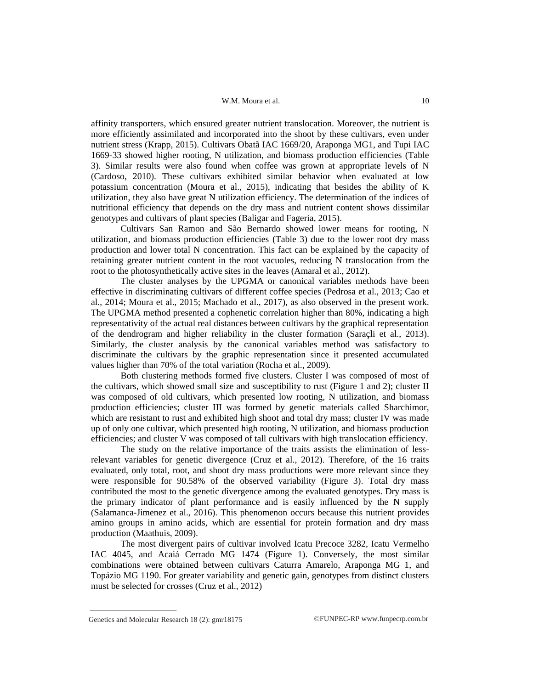### W.M. Moura et al. 10

affinity transporters, which ensured greater nutrient translocation. Moreover, the nutrient is more efficiently assimilated and incorporated into the shoot by these cultivars, even under nutrient stress (Krapp, 2015). Cultivars Obatã IAC 1669/20, Araponga MG1, and Tupi IAC 1669-33 showed higher rooting, N utilization, and biomass production efficiencies (Table 3). Similar results were also found when coffee was grown at appropriate levels of N (Cardoso, 2010). These cultivars exhibited similar behavior when evaluated at low potassium concentration (Moura et al., 2015), indicating that besides the ability of K utilization, they also have great N utilization efficiency. The determination of the indices of nutritional efficiency that depends on the dry mass and nutrient content shows dissimilar genotypes and cultivars of plant species (Baligar and Fageria, 2015).

Cultivars San Ramon and São Bernardo showed lower means for rooting, N utilization, and biomass production efficiencies (Table 3) due to the lower root dry mass production and lower total N concentration. This fact can be explained by the capacity of retaining greater nutrient content in the root vacuoles, reducing N translocation from the root to the photosynthetically active sites in the leaves (Amaral et al., 2012).

The cluster analyses by the UPGMA or canonical variables methods have been effective in discriminating cultivars of different coffee species (Pedrosa et al., 2013; Cao et al., 2014; Moura et al., 2015; Machado et al., 2017), as also observed in the present work. The UPGMA method presented a cophenetic correlation higher than 80%, indicating a high representativity of the actual real distances between cultivars by the graphical representation of the dendrogram and higher reliability in the cluster formation (Saraçli et al., 2013). Similarly, the cluster analysis by the canonical variables method was satisfactory to discriminate the cultivars by the graphic representation since it presented accumulated values higher than 70% of the total variation (Rocha et al., 2009).

Both clustering methods formed five clusters. Cluster I was composed of most of the cultivars, which showed small size and susceptibility to rust (Figure 1 and 2); cluster II was composed of old cultivars, which presented low rooting, N utilization, and biomass production efficiencies; cluster III was formed by genetic materials called Sharchimor, which are resistant to rust and exhibited high shoot and total dry mass; cluster IV was made up of only one cultivar, which presented high rooting, N utilization, and biomass production efficiencies; and cluster V was composed of tall cultivars with high translocation efficiency.

The study on the relative importance of the traits assists the elimination of lessrelevant variables for genetic divergence (Cruz et al., 2012). Therefore, of the 16 traits evaluated, only total, root, and shoot dry mass productions were more relevant since they were responsible for 90.58% of the observed variability (Figure 3). Total dry mass contributed the most to the genetic divergence among the evaluated genotypes. Dry mass is the primary indicator of plant performance and is easily influenced by the N supply (Salamanca-Jimenez et al., 2016). This phenomenon occurs because this nutrient provides amino groups in amino acids, which are essential for protein formation and dry mass production (Maathuis, 2009).

The most divergent pairs of cultivar involved Icatu Precoce 3282, Icatu Vermelho IAC 4045, and Acaiá Cerrado MG 1474 (Figure 1). Conversely, the most similar combinations were obtained between cultivars Caturra Amarelo, Araponga MG 1, and Topázio MG 1190. For greater variability and genetic gain, genotypes from distinct clusters must be selected for crosses (Cruz et al., 2012)

Genetics and Molecular Research 18 (2): gmr18175 ©FUNPEC-RP [www.funpecrp.com.br](http://www.funpecrp.com.br)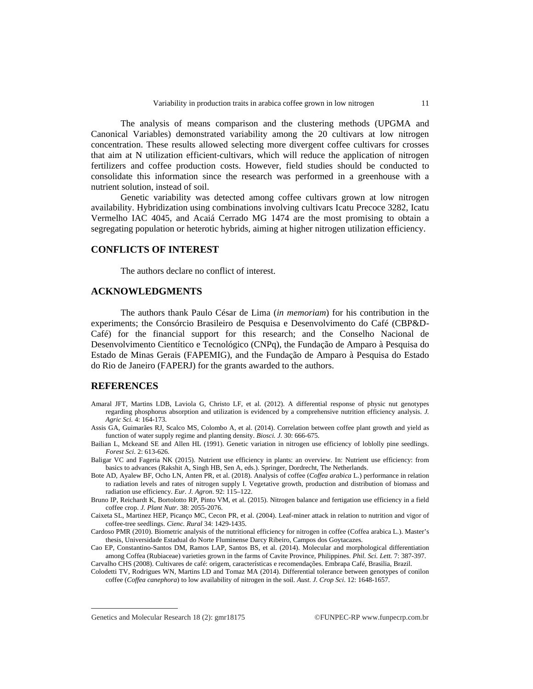The analysis of means comparison and the clustering methods (UPGMA and Canonical Variables) demonstrated variability among the 20 cultivars at low nitrogen concentration. These results allowed selecting more divergent coffee cultivars for crosses that aim at N utilization efficient-cultivars, which will reduce the application of nitrogen fertilizers and coffee production costs. However, field studies should be conducted to consolidate this information since the research was performed in a greenhouse with a nutrient solution, instead of soil.

Genetic variability was detected among coffee cultivars grown at low nitrogen availability. Hybridization using combinations involving cultivars Icatu Precoce 3282, Icatu Vermelho IAC 4045, and Acaiá Cerrado MG 1474 are the most promising to obtain a segregating population or heterotic hybrids, aiming at higher nitrogen utilization efficiency.

## **CONFLICTS OF INTEREST**

The authors declare no conflict of interest.

## **ACKNOWLEDGMENTS**

The authors thank Paulo César de Lima (*in memoriam*) for his contribution in the experiments; the Consórcio Brasileiro de Pesquisa e Desenvolvimento do Café (CBP&D-Café) for the financial support for this research; and the Conselho Nacional de Desenvolvimento Cientítico e Tecnológico (CNPq), the Fundação de Amparo à Pesquisa do Estado de Minas Gerais (FAPEMIG), and the Fundação de Amparo à Pesquisa do Estado do Rio de Janeiro (FAPERJ) for the grants awarded to the authors.

## **REFERENCES**

- Amaral JFT, Martins LDB, Laviola G, Christo LF, et al. (2012). A differential response of physic nut genotypes regarding phosphorus absorption and utilization is evidenced by a comprehensive nutrition efficiency analysis. *J. Agric Sci.* 4: 164-173.
- Assis GA, Guimarães RJ, Scalco MS, Colombo A, et al. (2014). Correlation between coffee plant growth and yield as function of water supply regime and planting density. *Biosci. J.* 30: 666-675.
- Bailian L, Mckeand SE and Allen HL (1991). Genetic variation in nitrogen use efficiency of loblolly pine seedlings. *Forest Sci*. 2: 613-626.
- Baligar VC and Fageria NK (2015). Nutrient use efficiency in plants: an overview. In: Nutrient use efficiency: from basics to advances (Rakshit A, Singh HB, Sen A, eds.). Springer, Dordrecht, The Netherlands.
- Bote AD, Ayalew BF, Ocho LN, Anten PR, et al. (2018). Analysis of coffee (*Coffea arabica* L.) performance in relation to radiation levels and rates of nitrogen supply I. Vegetative growth, production and distribution of biomass and radiation use efficiency. *Eur. J. Agron*. 92: 115–122.
- Bruno IP, Reichardt K, Bortolotto RP, Pinto VM, et al. (2015). Nitrogen balance and fertigation use efficiency in a field coffee crop. *J. Plant Nutr.* 38: 2055-2076.
- Caixeta SL, Martinez HEP, Picanço MC, Cecon PR, et al. (2004). Leaf-miner attack in relation to nutrition and vigor of coffee-tree seedlings. *Cienc. Rural* 34: 1429-1435.
- Cardoso PMR (2010). Biometric analysis of the nutritional efficiency for nitrogen in coffee (Coffea arabica L.). Master's thesis, Universidade Estadual do Norte Fluminense Darcy Ribeiro, Campos dos Goytacazes.
- Cao EP, Constantino-Santos DM, Ramos LAP, Santos BS, et al. (2014). Molecular and morphological differentiation among Coffea (Rubiaceae) varieties grown in the farms of Cavite Province, Philippines. *Phil. Sci. Lett.* 7: 387-397. Carvalho CHS (2008). Cultivares de café: origem, características e recomendações. Embrapa Café, Brasilia, Brazil.
- Colodetti TV, Rodrigues WN, Martins LD and Tomaz MA (2014). Differential tolerance between genotypes of conilon coffee (*Coffea canephora*) to low availability of nitrogen in the soil. *Aust. J. Crop Sci*. 12: 1648-1657.

Genetics and Molecular Research 18 (2):  $gmr18175$  ©FUNPEC-RP [www.funpecrp.com.br](http://www.funpecrp.com.br)